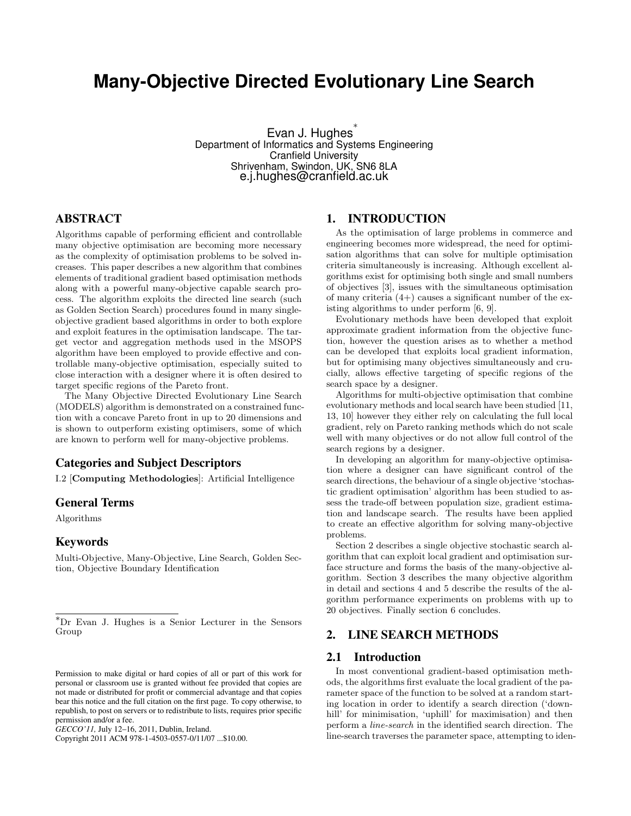# **Many-Objective Directed Evolutionary Line Search**

Evan J. Hughes<sup>\*</sup> Department of Informatics and Systems Engineering Cranfield University Shrivenham, Swindon, UK, SN6 8LA e.j.hughes@cranfield.ac.uk

# ABSTRACT

Algorithms capable of performing efficient and controllable many objective optimisation are becoming more necessary as the complexity of optimisation problems to be solved increases. This paper describes a new algorithm that combines elements of traditional gradient based optimisation methods along with a powerful many-objective capable search process. The algorithm exploits the directed line search (such as Golden Section Search) procedures found in many singleobjective gradient based algorithms in order to both explore and exploit features in the optimisation landscape. The target vector and aggregation methods used in the MSOPS algorithm have been employed to provide effective and controllable many-objective optimisation, especially suited to close interaction with a designer where it is often desired to target specific regions of the Pareto front.

The Many Objective Directed Evolutionary Line Search (MODELS) algorithm is demonstrated on a constrained function with a concave Pareto front in up to 20 dimensions and is shown to outperform existing optimisers, some of which are known to perform well for many-objective problems.

# Categories and Subject Descriptors

I.2 [Computing Methodologies]: Artificial Intelligence

#### General Terms

Algorithms

# Keywords

Multi-Objective, Many-Objective, Line Search, Golden Section, Objective Boundary Identification

Copyright 2011 ACM 978-1-4503-0557-0/11/07 ...\$10.00.

## 1. INTRODUCTION

As the optimisation of large problems in commerce and engineering becomes more widespread, the need for optimisation algorithms that can solve for multiple optimisation criteria simultaneously is increasing. Although excellent algorithms exist for optimising both single and small numbers of objectives [3], issues with the simultaneous optimisation of many criteria (4+) causes a significant number of the existing algorithms to under perform [6, 9].

Evolutionary methods have been developed that exploit approximate gradient information from the objective function, however the question arises as to whether a method can be developed that exploits local gradient information, but for optimising many objectives simultaneously and crucially, allows effective targeting of specific regions of the search space by a designer.

Algorithms for multi-objective optimisation that combine evolutionary methods and local search have been studied [11, 13, 10] however they either rely on calculating the full local gradient, rely on Pareto ranking methods which do not scale well with many objectives or do not allow full control of the search regions by a designer.

In developing an algorithm for many-objective optimisation where a designer can have significant control of the search directions, the behaviour of a single objective 'stochastic gradient optimisation' algorithm has been studied to assess the trade-off between population size, gradient estimation and landscape search. The results have been applied to create an effective algorithm for solving many-objective problems.

Section 2 describes a single objective stochastic search algorithm that can exploit local gradient and optimisation surface structure and forms the basis of the many-objective algorithm. Section 3 describes the many objective algorithm in detail and sections 4 and 5 describe the results of the algorithm performance experiments on problems with up to 20 objectives. Finally section 6 concludes.

# 2. LINE SEARCH METHODS

### 2.1 Introduction

In most conventional gradient-based optimisation methods, the algorithms first evaluate the local gradient of the parameter space of the function to be solved at a random starting location in order to identify a search direction ('downhill' for minimisation, 'uphill' for maximisation) and then perform a line-search in the identified search direction. The line-search traverses the parameter space, attempting to iden-

<sup>∗</sup>Dr Evan J. Hughes is a Senior Lecturer in the Sensors Group

Permission to make digital or hard copies of all or part of this work for personal or classroom use is granted without fee provided that copies are not made or distributed for profit or commercial advantage and that copies bear this notice and the full citation on the first page. To copy otherwise, to republish, to post on servers or to redistribute to lists, requires prior specific permission and/or a fee.

*GECCO'11,* July 12–16, 2011, Dublin, Ireland.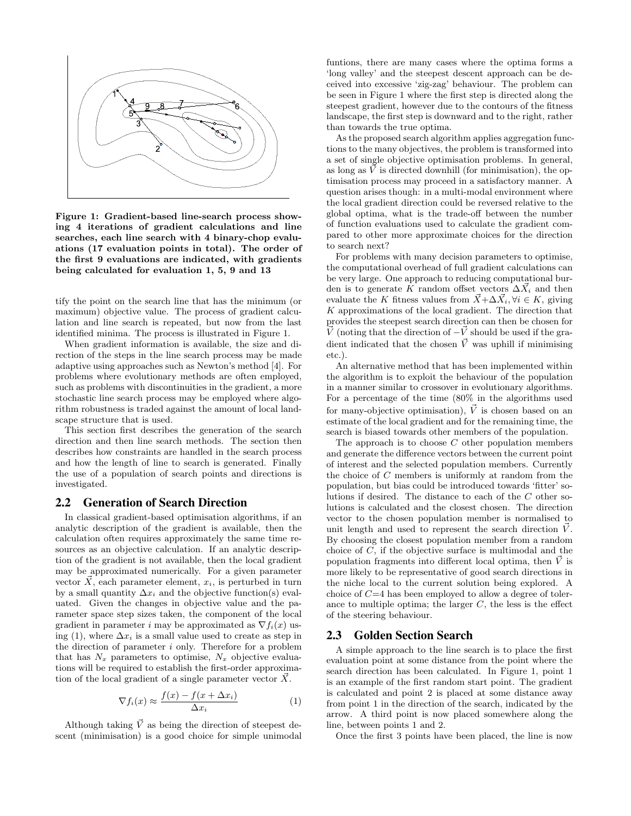

Figure 1: Gradient-based line-search process showing 4 iterations of gradient calculations and line searches, each line search with 4 binary-chop evaluations (17 evaluation points in total). The order of the first 9 evaluations are indicated, with gradients being calculated for evaluation 1, 5, 9 and 13

tify the point on the search line that has the minimum (or maximum) objective value. The process of gradient calculation and line search is repeated, but now from the last identified minima. The process is illustrated in Figure 1.

When gradient information is available, the size and direction of the steps in the line search process may be made adaptive using approaches such as Newton's method [4]. For problems where evolutionary methods are often employed, such as problems with discontinuities in the gradient, a more stochastic line search process may be employed where algorithm robustness is traded against the amount of local landscape structure that is used.

This section first describes the generation of the search direction and then line search methods. The section then describes how constraints are handled in the search process and how the length of line to search is generated. Finally the use of a population of search points and directions is investigated.

#### 2.2 Generation of Search Direction

In classical gradient-based optimisation algorithms, if an analytic description of the gradient is available, then the calculation often requires approximately the same time resources as an objective calculation. If an analytic description of the gradient is not available, then the local gradient may be approximated numerically. For a given parameter vector  $\overline{X}$ , each parameter element,  $x_i$ , is perturbed in turn by a small quantity  $\Delta x_i$  and the objective function(s) evaluated. Given the changes in objective value and the parameter space step sizes taken, the component of the local gradient in parameter i may be approximated as  $\nabla f_i(x)$  using (1), where  $\Delta x_i$  is a small value used to create as step in the direction of parameter  $i$  only. Therefore for a problem that has  $N_x$  parameters to optimise,  $N_x$  objective evaluations will be required to establish the first-order approximation of the local gradient of a single parameter vector  $\vec{X}$ .

$$
\nabla f_i(x) \approx \frac{f(x) - f(x + \Delta x_i)}{\Delta x_i} \tag{1}
$$

Although taking  $\vec{V}$  as being the direction of steepest descent (minimisation) is a good choice for simple unimodal funtions, there are many cases where the optima forms a 'long valley' and the steepest descent approach can be deceived into excessive 'zig-zag' behaviour. The problem can be seen in Figure 1 where the first step is directed along the steepest gradient, however due to the contours of the fitness landscape, the first step is downward and to the right, rather than towards the true optima.

As the proposed search algorithm applies aggregation functions to the many objectives, the problem is transformed into a set of single objective optimisation problems. In general, as long as  $\vec{V}$  is directed downhill (for minimisation), the optimisation process may proceed in a satisfactory manner. A question arises though: in a multi-modal environment where the local gradient direction could be reversed relative to the global optima, what is the trade-off between the number of function evaluations used to calculate the gradient compared to other more approximate choices for the direction to search next?

For problems with many decision parameters to optimise, the computational overhead of full gradient calculations can be very large. One approach to reducing computational burden is to generate K random offset vectors  $\Delta \vec{X}_i$  and then evaluate the K fitness values from  $\vec{X}$ + $\Delta \vec{X}_i$ ,  $\forall i \in K$ , giving  $K$  approximations of the local gradient. The direction that provides the steepest search direction can then be chosen for  $\overrightarrow{V}$  (noting that the direction of  $-\overrightarrow{V}$  should be used if the gradient indicated that the chosen  $\vec{V}$  was uphill if minimising etc.).

An alternative method that has been implemented within the algorithm is to exploit the behaviour of the population in a manner similar to crossover in evolutionary algorithms. For a percentage of the time (80% in the algorithms used for many-objective optimisation),  $\vec{V}$  is chosen based on an estimate of the local gradient and for the remaining time, the search is biased towards other members of the population.

The approach is to choose  $C$  other population members and generate the difference vectors between the current point of interest and the selected population members. Currently the choice of C members is uniformly at random from the population, but bias could be introduced towards 'fitter' solutions if desired. The distance to each of the C other solutions is calculated and the closest chosen. The direction vector to the chosen population member is normalised to unit length and used to represent the search direction  $\dot{V}$ . By choosing the closest population member from a random choice of C, if the objective surface is multimodal and the population fragments into different local optima, then  $\vec{V}$  is more likely to be representative of good search directions in the niche local to the current solution being explored. A choice of  $C=4$  has been employed to allow a degree of tolerance to multiple optima; the larger  $C$ , the less is the effect of the steering behaviour.

#### 2.3 Golden Section Search

A simple approach to the line search is to place the first evaluation point at some distance from the point where the search direction has been calculated. In Figure 1, point 1 is an example of the first random start point. The gradient is calculated and point 2 is placed at some distance away from point 1 in the direction of the search, indicated by the arrow. A third point is now placed somewhere along the line, between points 1 and 2.

Once the first 3 points have been placed, the line is now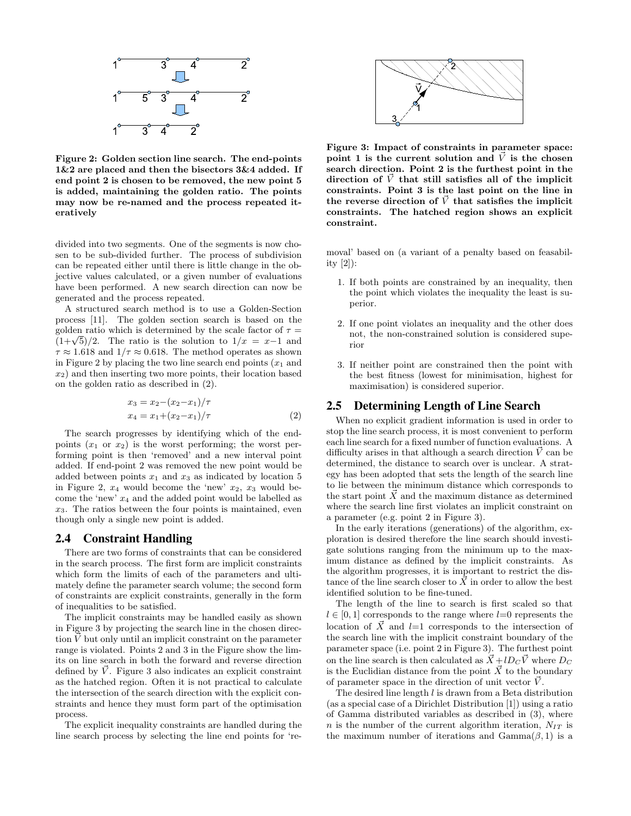

Figure 2: Golden section line search. The end-points 1&2 are placed and then the bisectors 3&4 added. If end point 2 is chosen to be removed, the new point 5 is added, maintaining the golden ratio. The points may now be re-named and the process repeated iteratively

divided into two segments. One of the segments is now chosen to be sub-divided further. The process of subdivision can be repeated either until there is little change in the objective values calculated, or a given number of evaluations have been performed. A new search direction can now be generated and the process repeated.

A structured search method is to use a Golden-Section process [11]. The golden section search is based on the golden ratio which is determined by the scale factor of  $\tau =$  $(1+\sqrt{5})/2$ . The ratio is the solution to  $1/x = x-1$  and  $\tau \approx 1.618$  and  $1/\tau \approx 0.618$ . The method operates as shown in Figure 2 by placing the two line search end points  $(x_1)$  and  $x_2$ ) and then inserting two more points, their location based on the golden ratio as described in (2).

$$
x_3 = x_2 - (x_2 - x_1)/\tau
$$
  
\n
$$
x_4 = x_1 + (x_2 - x_1)/\tau
$$
 (2)

The search progresses by identifying which of the endpoints  $(x_1 \text{ or } x_2)$  is the worst performing; the worst performing point is then 'removed' and a new interval point added. If end-point 2 was removed the new point would be added between points  $x_1$  and  $x_3$  as indicated by location 5 in Figure 2,  $x_4$  would become the 'new'  $x_2$ ,  $x_3$  would become the 'new'  $x_4$  and the added point would be labelled as  $x_3$ . The ratios between the four points is maintained, even though only a single new point is added.

#### 2.4 Constraint Handling

There are two forms of constraints that can be considered in the search process. The first form are implicit constraints which form the limits of each of the parameters and ultimately define the parameter search volume; the second form of constraints are explicit constraints, generally in the form of inequalities to be satisfied.

The implicit constraints may be handled easily as shown in Figure 3 by projecting the search line in the chosen direction  $\vec{V}$  but only until an implicit constraint on the parameter range is violated. Points 2 and 3 in the Figure show the limits on line search in both the forward and reverse direction defined by  $\dot{V}$ . Figure 3 also indicates an explicit constraint as the hatched region. Often it is not practical to calculate the intersection of the search direction with the explicit constraints and hence they must form part of the optimisation process.

The explicit inequality constraints are handled during the line search process by selecting the line end points for 're-



Figure 3: Impact of constraints in parameter space: point 1 is the current solution and  $\vec{V}$  is the chosen search direction. Point 2 is the furthest point in the direction of  $\vec{V}$  that still satisfies all of the implicit constraints. Point 3 is the last point on the line in the reverse direction of  $\vec{V}$  that satisfies the implicit constraints. The hatched region shows an explicit constraint.

moval' based on (a variant of a penalty based on feasability [2]):

- 1. If both points are constrained by an inequality, then the point which violates the inequality the least is superior.
- 2. If one point violates an inequality and the other does not, the non-constrained solution is considered superior
- 3. If neither point are constrained then the point with the best fitness (lowest for minimisation, highest for maximisation) is considered superior.

#### 2.5 Determining Length of Line Search

When no explicit gradient information is used in order to stop the line search process, it is most convenient to perform each line search for a fixed number of function evaluations. A difficulty arises in that although a search direction  $\vec{V}$  can be determined, the distance to search over is unclear. A strategy has been adopted that sets the length of the search line to lie between the minimum distance which corresponds to the start point  $\vec{X}$  and the maximum distance as determined where the search line first violates an implicit constraint on a parameter (e.g. point 2 in Figure 3).

In the early iterations (generations) of the algorithm, exploration is desired therefore the line search should investigate solutions ranging from the minimum up to the maximum distance as defined by the implicit constraints. As the algorithm progresses, it is important to restrict the distance of the line search closer to  $\overrightarrow{X}$  in order to allow the best identified solution to be fine-tuned.

The length of the line to search is first scaled so that  $l \in [0, 1]$  corresponds to the range where  $l=0$  represents the location of  $\vec{X}$  and l=1 corresponds to the intersection of the search line with the implicit constraint boundary of the parameter space (i.e. point 2 in Figure 3). The furthest point on the line search is then calculated as  $\vec{X} + lD_C \vec{V}$  where  $D_C$ is the Euclidian distance from the point  $\vec{X}$  to the boundary of parameter space in the direction of unit vector  $\dot{V}$ .

The desired line length  $l$  is drawn from a Beta distribution (as a special case of a Dirichlet Distribution [1]) using a ratio of Gamma distributed variables as described in (3), where n is the number of the current algorithm iteration,  $N_{IT}$  is the maximum number of iterations and  $Gamma(\beta, 1)$  is a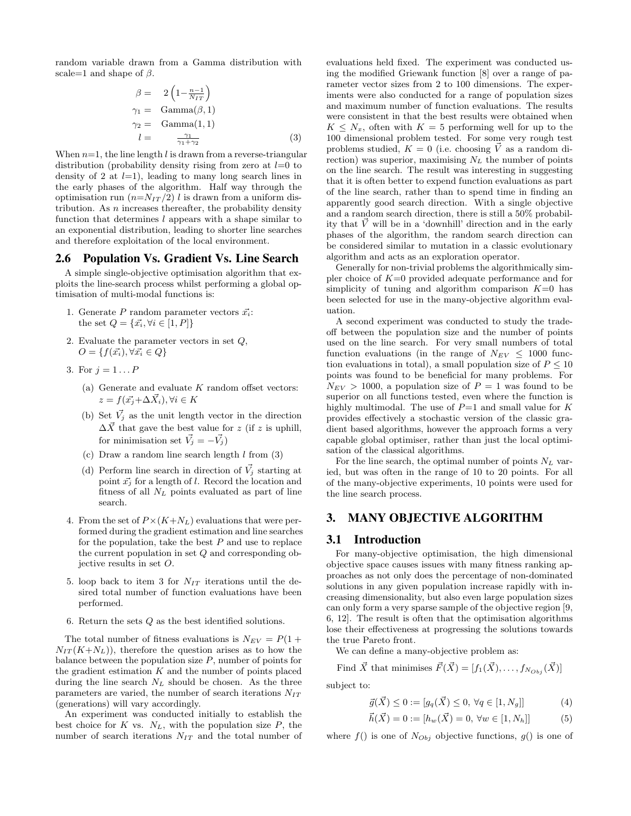random variable drawn from a Gamma distribution with scale=1 and shape of  $\beta$ .

$$
\beta = 2\left(1 - \frac{n-1}{N_I T}\right)
$$
  
\n
$$
\gamma_1 = \text{Gamma}(\beta, 1)
$$
  
\n
$$
\gamma_2 = \text{Gamma}(1, 1)
$$
  
\n
$$
l = \frac{\gamma_1}{\gamma_1 + \gamma_2}
$$
\n(3)

When  $n=1$ , the line length l is drawn from a reverse-triangular distribution (probability density rising from zero at  $l=0$  to density of 2 at  $l=1$ ), leading to many long search lines in the early phases of the algorithm. Half way through the optimisation run  $(n=N_{IT}/2)$  l is drawn from a uniform distribution. As  $n$  increases thereafter, the probability density function that determines  $l$  appears with a shape similar to an exponential distribution, leading to shorter line searches and therefore exploitation of the local environment.

#### 2.6 Population Vs. Gradient Vs. Line Search

A simple single-objective optimisation algorithm that exploits the line-search process whilst performing a global optimisation of multi-modal functions is:

- 1. Generate P random parameter vectors  $\vec{x_i}$ : the set  $Q = \{\vec{x_i}, \forall i \in [1, P]\}$
- 2. Evaluate the parameter vectors in set  $Q$ ,  $O = \{f(\vec{x_i}), \forall \vec{x_i} \in Q\}$
- 3. For  $j = 1...P$ 
	- (a) Generate and evaluate  $K$  random offset vectors:  $z = f(\vec{x_i} + \Delta \vec{X_i}), \forall i \in K$
	- (b) Set  $\vec{V}_j$  as the unit length vector in the direction  $\Delta \vec{X}$  that gave the best value for z (if z is uphill, for minimisation set  $\vec{V}_j = -\vec{V}_j$
	- (c) Draw a random line search length  $l$  from  $(3)$
	- (d) Perform line search in direction of  $\vec{V}_i$  starting at point  $\vec{x}_j$  for a length of l. Record the location and fitness of all  $N_L$  points evaluated as part of line search.
- 4. From the set of  $P \times (K+N_L)$  evaluations that were performed during the gradient estimation and line searches for the population, take the best  $P$  and use to replace the current population in set Q and corresponding objective results in set O.
- 5. loop back to item 3 for  $N_{IT}$  iterations until the desired total number of function evaluations have been performed.
- 6. Return the sets  $Q$  as the best identified solutions.

The total number of fitness evaluations is  $N_{EV} = P(1 +$  $N_{IT}(K+N_L)$ , therefore the question arises as to how the balance between the population size  $P$ , number of points for the gradient estimation  $K$  and the number of points placed during the line search  $N_L$  should be chosen. As the three parameters are varied, the number of search iterations  $N_{IT}$ (generations) will vary accordingly.

An experiment was conducted initially to establish the best choice for  $K$  vs.  $N_L$ , with the population size  $P$ , the number of search iterations  $N_{IT}$  and the total number of

evaluations held fixed. The experiment was conducted using the modified Griewank function [8] over a range of parameter vector sizes from 2 to 100 dimensions. The experiments were also conducted for a range of population sizes and maximum number of function evaluations. The results were consistent in that the best results were obtained when  $K \leq N_x$ , often with  $K = 5$  performing well for up to the 100 dimensional problem tested. For some very rough test problems studied,  $K = 0$  (i.e. choosing V as a random direction) was superior, maximising  $N_L$  the number of points on the line search. The result was interesting in suggesting that it is often better to expend function evaluations as part of the line search, rather than to spend time in finding an apparently good search direction. With a single objective and a random search direction, there is still a 50% probability that  $\vec{V}$  will be in a 'downhill' direction and in the early phases of the algorithm, the random search direction can be considered similar to mutation in a classic evolutionary algorithm and acts as an exploration operator.

Generally for non-trivial problems the algorithmically simpler choice of  $K=0$  provided adequate performance and for simplicity of tuning and algorithm comparison  $K=0$  has been selected for use in the many-objective algorithm evaluation.

A second experiment was conducted to study the tradeoff between the population size and the number of points used on the line search. For very small numbers of total function evaluations (in the range of  $N_{EV} \leq 1000$  function evaluations in total), a small population size of  $P \leq 10$ points was found to be beneficial for many problems. For  $N_{EV} > 1000$ , a population size of  $P = 1$  was found to be superior on all functions tested, even where the function is highly multimodal. The use of  $P=1$  and small value for K provides effectively a stochastic version of the classic gradient based algorithms, however the approach forms a very capable global optimiser, rather than just the local optimisation of the classical algorithms.

For the line search, the optimal number of points  $N_L$  varied, but was often in the range of 10 to 20 points. For all of the many-objective experiments, 10 points were used for the line search process.

# 3. MANY OBJECTIVE ALGORITHM

#### 3.1 Introduction

For many-objective optimisation, the high dimensional objective space causes issues with many fitness ranking approaches as not only does the percentage of non-dominated solutions in any given population increase rapidly with increasing dimensionality, but also even large population sizes can only form a very sparse sample of the objective region [9, 6, 12]. The result is often that the optimisation algorithms lose their effectiveness at progressing the solutions towards the true Pareto front.

We can define a many-objective problem as:

Find  $\vec{X}$  that minimises  $\vec{F}(\vec{X}) = [f_1(\vec{X}), \ldots, f_{N_{Ohj}}(\vec{X})]$ 

subject to:

$$
\vec{g}(\vec{X}) \le 0 := [g_q(\vec{X}) \le 0, \,\forall q \in [1, N_g]] \tag{4}
$$

$$
\vec{h}(\vec{X}) = 0 := [h_w(\vec{X}) = 0, \,\forall w \in [1, N_h]] \tag{5}
$$

where  $f()$  is one of  $N_{Obj}$  objective functions,  $g()$  is one of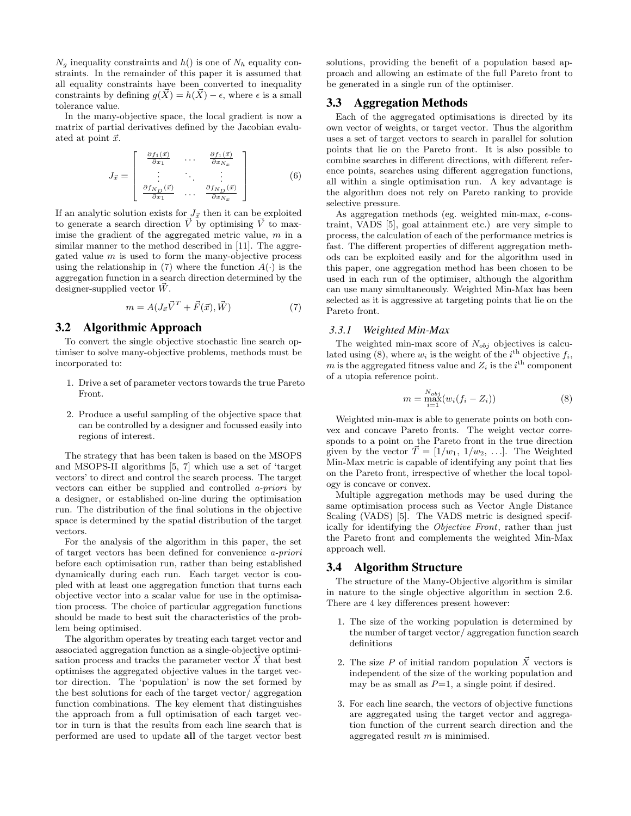$N_q$  inequality constraints and  $h()$  is one of  $N_h$  equality constraints. In the remainder of this paper it is assumed that all equality constraints have been converted to inequality constraints by defining  $q(\vec{X}) = h(\vec{X}) - \epsilon$ , where  $\epsilon$  is a small tolerance value.

In the many-objective space, the local gradient is now a matrix of partial derivatives defined by the Jacobian evaluated at point  $\vec{x}$ .

$$
J_{\vec{x}} = \begin{bmatrix} \frac{\partial f_1(\vec{x})}{\partial x_1} & \cdots & \frac{\partial f_1(\vec{x})}{\partial x_{N_x}} \\ \vdots & \ddots & \vdots \\ \frac{\partial f_{N_D}(\vec{x})}{\partial x_1} & \cdots & \frac{\partial f_{N_D}(\vec{x})}{\partial x_{N_x}} \end{bmatrix}
$$
(6)

If an analytic solution exists for  $J_{\vec{x}}$  then it can be exploited to generate a search direction  $\vec{V}$  by optimising  $\vec{V}$  to maximise the gradient of the aggregated metric value,  $m$  in a similar manner to the method described in [11]. The aggregated value  $m$  is used to form the many-objective process using the relationship in (7) where the function  $A(\cdot)$  is the aggregation function in a search direction determined by the designer-supplied vector  $\vec{W}$ .

$$
m = A(J_{\vec{x}}\vec{V}^T + \vec{F}(\vec{x}), \vec{W})
$$
\n<sup>(7)</sup>

### 3.2 Algorithmic Approach

To convert the single objective stochastic line search optimiser to solve many-objective problems, methods must be incorporated to:

- 1. Drive a set of parameter vectors towards the true Pareto Front.
- 2. Produce a useful sampling of the objective space that can be controlled by a designer and focussed easily into regions of interest.

The strategy that has been taken is based on the MSOPS and MSOPS-II algorithms [5, 7] which use a set of 'target vectors' to direct and control the search process. The target vectors can either be supplied and controlled a-priori by a designer, or established on-line during the optimisation run. The distribution of the final solutions in the objective space is determined by the spatial distribution of the target vectors.

For the analysis of the algorithm in this paper, the set of target vectors has been defined for convenience a-priori before each optimisation run, rather than being established dynamically during each run. Each target vector is coupled with at least one aggregation function that turns each objective vector into a scalar value for use in the optimisation process. The choice of particular aggregation functions should be made to best suit the characteristics of the problem being optimised.

The algorithm operates by treating each target vector and associated aggregation function as a single-objective optimisation process and tracks the parameter vector  $\vec{X}$  that best optimises the aggregated objective values in the target vector direction. The 'population' is now the set formed by the best solutions for each of the target vector/ aggregation function combinations. The key element that distinguishes the approach from a full optimisation of each target vector in turn is that the results from each line search that is performed are used to update all of the target vector best

solutions, providing the benefit of a population based approach and allowing an estimate of the full Pareto front to be generated in a single run of the optimiser.

#### 3.3 Aggregation Methods

Each of the aggregated optimisations is directed by its own vector of weights, or target vector. Thus the algorithm uses a set of target vectors to search in parallel for solution points that lie on the Pareto front. It is also possible to combine searches in different directions, with different reference points, searches using different aggregation functions, all within a single optimisation run. A key advantage is the algorithm does not rely on Pareto ranking to provide selective pressure.

As aggregation methods (eg. weighted min-max,  $\epsilon$ -constraint, VADS [5], goal attainment etc.) are very simple to process, the calculation of each of the performance metrics is fast. The different properties of different aggregation methods can be exploited easily and for the algorithm used in this paper, one aggregation method has been chosen to be used in each run of the optimiser, although the algorithm can use many simultaneously. Weighted Min-Max has been selected as it is aggressive at targeting points that lie on the Pareto front.

#### *3.3.1 Weighted Min-Max*

The weighted min-max score of  $N_{obj}$  objectives is calculated using (8), where  $w_i$  is the weight of the i<sup>th</sup> objective  $f_i$ , m is the aggregated fitness value and  $Z_i$  is the i<sup>th</sup> component of a utopia reference point.

$$
m = \max_{i=1}^{N_{obj}} (w_i(f_i - Z_i))
$$
 (8)

Weighted min-max is able to generate points on both convex and concave Pareto fronts. The weight vector corresponds to a point on the Pareto front in the true direction given by the vector  $\vec{T} = [1/w_1, 1/w_2, \ldots]$ . The Weighted Min-Max metric is capable of identifying any point that lies on the Pareto front, irrespective of whether the local topology is concave or convex.

Multiple aggregation methods may be used during the same optimisation process such as Vector Angle Distance Scaling (VADS) [5]. The VADS metric is designed specifically for identifying the Objective Front, rather than just the Pareto front and complements the weighted Min-Max approach well.

# 3.4 Algorithm Structure

The structure of the Many-Objective algorithm is similar in nature to the single objective algorithm in section 2.6. There are 4 key differences present however:

- 1. The size of the working population is determined by the number of target vector/ aggregation function search definitions
- 2. The size P of initial random population  $\vec{X}$  vectors is independent of the size of the working population and may be as small as  $P=1$ , a single point if desired.
- 3. For each line search, the vectors of objective functions are aggregated using the target vector and aggregation function of the current search direction and the aggregated result m is minimised.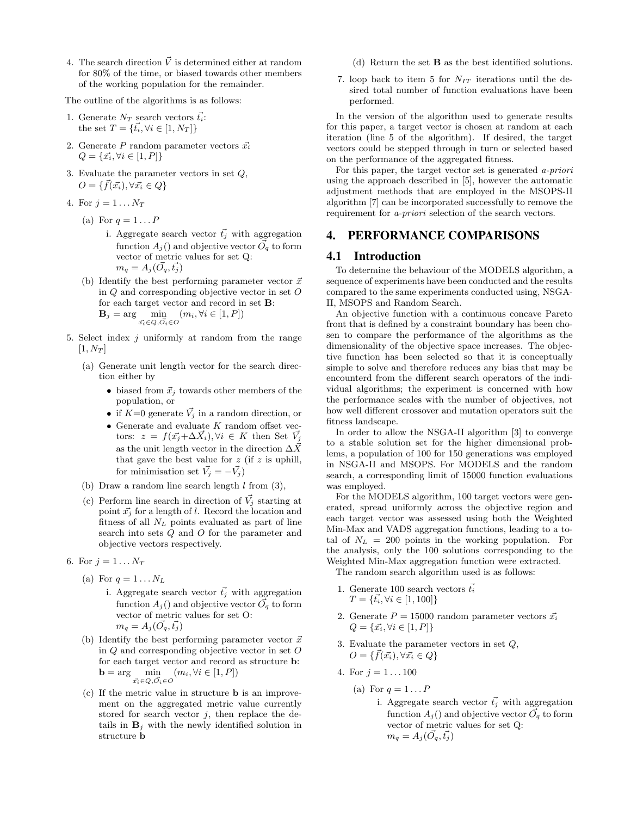4. The search direction  $\vec{V}$  is determined either at random for 80% of the time, or biased towards other members of the working population for the remainder.

The outline of the algorithms is as follows:

- 1. Generate  $N_T$  search vectors  $\vec{t}_i$ : the set  $T = \{\vec{t}_i, \forall i \in [1, N_T]\}$
- 2. Generate P random parameter vectors  $\vec{x_i}$  $Q = {\vec{x_i}, \forall i \in [1, P]}$
- 3. Evaluate the parameter vectors in set Q,  $O = \{ \vec{f}(\vec{x_i}), \forall \vec{x_i} \in Q \}$
- 4. For  $j=1 \ldots N_T$ 
	- (a) For  $q = 1 \dots P$ 
		- i. Aggregate search vector  $\vec{t}_j$  with aggregation function  $A_i()$  and objective vector  $\vec{O}_q$  to form vector of metric values for set Q:  $m_q = A_j(\vec{O_q}, \vec{t_j})$
	- (b) Identify the best performing parameter vector  $\vec{x}$ in Q and corresponding objective vector in set O for each target vector and record in set B:  $\mathbf{B}_j = \arg\min_{\vec{x_i} \in Q, \vec{O}_i \in O} (m_i, \forall i \in [1, P])$
- 5. Select index  $j$  uniformly at random from the range  $[1, N_T]$ 
	- (a) Generate unit length vector for the search direction either by
		- biased from  $\vec{x}_i$  towards other members of the population, or
		- if  $K=0$  generate  $\vec{V}_j$  in a random direction, or
		- $\bullet\,$  Generate and evaluate  $K$  random offset vectors:  $z = f(\vec{x_j} + \Delta \vec{X_i}), \forall i \in K$  then Set  $\vec{V_j}$ as the unit length vector in the direction  $\Delta \vec{X}$ that gave the best value for  $z$  (if  $z$  is uphill, for minimisation set  $\vec{V}_j = -\vec{V}_j$
	- (b) Draw a random line search length  $l$  from  $(3)$ ,
	- (c) Perform line search in direction of  $\vec{V}_i$  starting at point  $\vec{x_i}$  for a length of l. Record the location and fitness of all  $N_L$  points evaluated as part of line search into sets Q and O for the parameter and objective vectors respectively.
- 6. For  $j = 1...N_T$ 
	- (a) For  $q = 1 \dots N_L$ 
		- i. Aggregate search vector  $\vec{t}_j$  with aggregation function  $A_j()$  and objective vector  $\vec{O_q}$  to form vector of metric values for set O:  $m_q = A_j (O_q, \vec{t_j})$
	- (b) Identify the best performing parameter vector  $\vec{x}$ in Q and corresponding objective vector in set O for each target vector and record as structure b: **b** = arg  $\min_{\vec{x_i} \in Q, \vec{O_i} \in O} (m_i, \forall i \in [1, P])$
	- (c) If the metric value in structure b is an improvement on the aggregated metric value currently stored for search vector  $j$ , then replace the details in  $\mathbf{B}_i$  with the newly identified solution in structure b
- (d) Return the set B as the best identified solutions.
- 7. loop back to item 5 for  $N_{IT}$  iterations until the desired total number of function evaluations have been performed.

In the version of the algorithm used to generate results for this paper, a target vector is chosen at random at each iteration (line 5 of the algorithm). If desired, the target vectors could be stepped through in turn or selected based on the performance of the aggregated fitness.

For this paper, the target vector set is generated a-priori using the approach described in [5], however the automatic adjustment methods that are employed in the MSOPS-II algorithm [7] can be incorporated successfully to remove the requirement for a-priori selection of the search vectors.

# 4. PERFORMANCE COMPARISONS

# 4.1 Introduction

To determine the behaviour of the MODELS algorithm, a sequence of experiments have been conducted and the results compared to the same experiments conducted using, NSGA-II, MSOPS and Random Search.

An objective function with a continuous concave Pareto front that is defined by a constraint boundary has been chosen to compare the performance of the algorithms as the dimensionality of the objective space increases. The objective function has been selected so that it is conceptually simple to solve and therefore reduces any bias that may be encounterd from the different search operators of the individual algorithms; the experiment is concerned with how the performance scales with the number of objectives, not how well different crossover and mutation operators suit the fitness landscape.

In order to allow the NSGA-II algorithm [3] to converge to a stable solution set for the higher dimensional problems, a population of 100 for 150 generations was employed in NSGA-II and MSOPS. For MODELS and the random search, a corresponding limit of 15000 function evaluations was employed.

For the MODELS algorithm, 100 target vectors were generated, spread uniformly across the objective region and each target vector was assessed using both the Weighted Min-Max and VADS aggregation functions, leading to a total of  $N_L = 200$  points in the working population. For the analysis, only the 100 solutions corresponding to the Weighted Min-Max aggregation function were extracted.

The random search algorithm used is as follows:

- 1. Generate 100 search vectors  $\vec{t}_i$  $T = \{\vec{t}_i, \forall i \in [1, 100]\}$
- 2. Generate  $P = 15000$  random parameter vectors  $\vec{x_i}$  $Q = \{\vec{x_i}, \forall i \in [1, P]\}$
- 3. Evaluate the parameter vectors in set Q,  $O = \{ \vec{f}(\vec{x_i}), \forall \vec{x_i} \in Q \}$
- 4. For  $j = 1 \dots 100$ 
	- (a) For  $q = 1 \dots P$ 
		- i. Aggregate search vector  $\vec{t}_j$  with aggregation function  $A_j()$  and objective vector  $\overrightarrow{O}_q$  to form vector of metric values for set Q:  $m_q = A_j(\vec{O_q}, \vec{t_j})$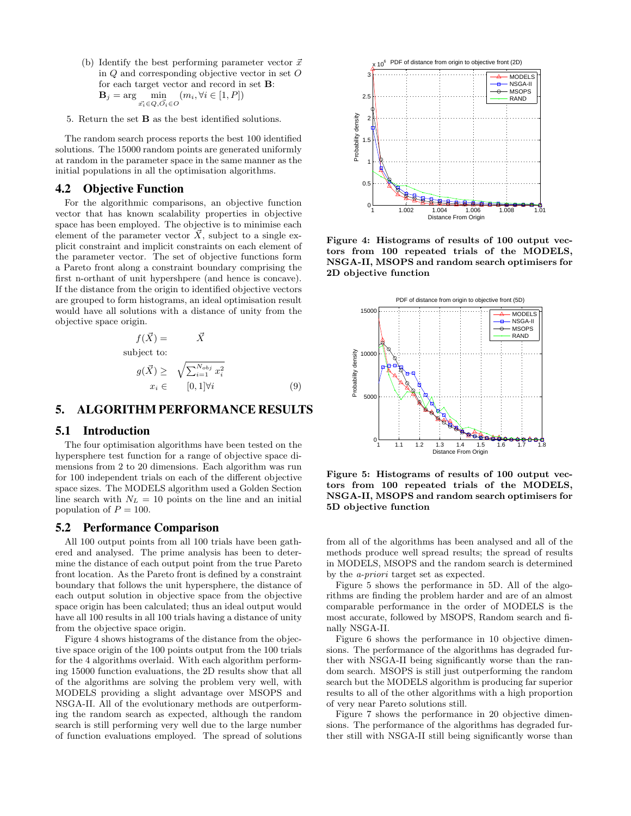- (b) Identify the best performing parameter vector  $\vec{x}$ in Q and corresponding objective vector in set O for each target vector and record in set B:  $\mathbf{B}_j = \arg\min_{\vec{x_i} \in Q, \vec{O_i} \in O}$  $(m_i, \forall i \in [1, P])$
- 5. Return the set B as the best identified solutions.

The random search process reports the best 100 identified solutions. The 15000 random points are generated uniformly at random in the parameter space in the same manner as the initial populations in all the optimisation algorithms.

# 4.2 Objective Function

For the algorithmic comparisons, an objective function vector that has known scalability properties in objective space has been employed. The objective is to minimise each element of the parameter vector  $\overline{X}$ , subject to a single explicit constraint and implicit constraints on each element of the parameter vector. The set of objective functions form a Pareto front along a constraint boundary comprising the first n-orthant of unit hypershpere (and hence is concave). If the distance from the origin to identified objective vectors are grouped to form histograms, an ideal optimisation result would have all solutions with a distance of unity from the objective space origin.

$$
f(\vec{X}) = \vec{X}
$$
\nsubject to:\n
$$
g(\vec{X}) \geq \sqrt{\sum_{i=1}^{N_{obj}} x_i^2}
$$
\n
$$
x_i \in [0, 1] \forall i
$$
\n(9)

# 5. ALGORITHM PERFORMANCE RESULTS

#### 5.1 Introduction

The four optimisation algorithms have been tested on the hypersphere test function for a range of objective space dimensions from 2 to 20 dimensions. Each algorithm was run for 100 independent trials on each of the different objective space sizes. The MODELS algorithm used a Golden Section line search with  $N_L = 10$  points on the line and an initial population of  $P = 100$ .

#### 5.2 Performance Comparison

All 100 output points from all 100 trials have been gathered and analysed. The prime analysis has been to determine the distance of each output point from the true Pareto front location. As the Pareto front is defined by a constraint boundary that follows the unit hypersphere, the distance of each output solution in objective space from the objective space origin has been calculated; thus an ideal output would have all 100 results in all 100 trials having a distance of unity from the objective space origin.

Figure 4 shows histograms of the distance from the objective space origin of the 100 points output from the 100 trials for the 4 algorithms overlaid. With each algorithm performing 15000 function evaluations, the 2D results show that all of the algorithms are solving the problem very well, with MODELS providing a slight advantage over MSOPS and NSGA-II. All of the evolutionary methods are outperforming the random search as expected, although the random search is still performing very well due to the large number of function evaluations employed. The spread of solutions



Figure 4: Histograms of results of 100 output vectors from 100 repeated trials of the MODELS, NSGA-II, MSOPS and random search optimisers for 2D objective function



Figure 5: Histograms of results of 100 output vectors from 100 repeated trials of the MODELS, NSGA-II, MSOPS and random search optimisers for 5D objective function

from all of the algorithms has been analysed and all of the methods produce well spread results; the spread of results in MODELS, MSOPS and the random search is determined by the a-priori target set as expected.

Figure 5 shows the performance in 5D. All of the algorithms are finding the problem harder and are of an almost comparable performance in the order of MODELS is the most accurate, followed by MSOPS, Random search and finally NSGA-II.

Figure 6 shows the performance in 10 objective dimensions. The performance of the algorithms has degraded further with NSGA-II being significantly worse than the random search. MSOPS is still just outperforming the random search but the MODELS algorithm is producing far superior results to all of the other algorithms with a high proportion of very near Pareto solutions still.

Figure 7 shows the performance in 20 objective dimensions. The performance of the algorithms has degraded further still with NSGA-II still being significantly worse than